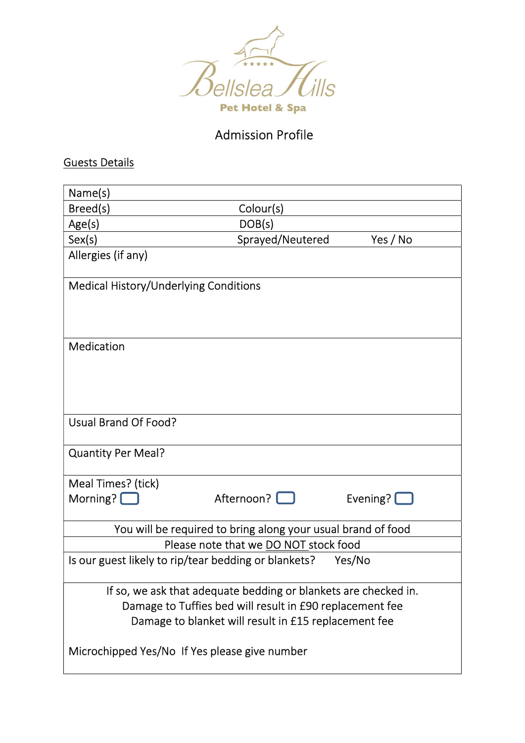

# Admission Profile

Guests Details

| Name(s)                                                         |                                       |                    |
|-----------------------------------------------------------------|---------------------------------------|--------------------|
| Breed(s)                                                        | Colour(s)                             |                    |
| Age(s)                                                          | DOB(s)                                |                    |
| Sex(s)                                                          | Sprayed/Neutered                      | Yes / No           |
| Allergies (if any)                                              |                                       |                    |
| Medical History/Underlying Conditions                           |                                       |                    |
|                                                                 |                                       |                    |
|                                                                 |                                       |                    |
| Medication                                                      |                                       |                    |
|                                                                 |                                       |                    |
|                                                                 |                                       |                    |
|                                                                 |                                       |                    |
| Usual Brand Of Food?                                            |                                       |                    |
|                                                                 |                                       |                    |
| <b>Quantity Per Meal?</b>                                       |                                       |                    |
|                                                                 |                                       |                    |
| Meal Times? (tick)                                              |                                       |                    |
| Morning? [                                                      | Afternoon?                            | Evening? $\square$ |
| You will be required to bring along your usual brand of food    |                                       |                    |
|                                                                 | Please note that we DO NOT stock food |                    |
| Is our guest likely to rip/tear bedding or blankets?            |                                       | Yes/No             |
|                                                                 |                                       |                    |
| If so, we ask that adequate bedding or blankets are checked in. |                                       |                    |
| Damage to Tuffies bed will result in £90 replacement fee        |                                       |                    |
| Damage to blanket will result in £15 replacement fee            |                                       |                    |
|                                                                 |                                       |                    |
| Microchipped Yes/No If Yes please give number                   |                                       |                    |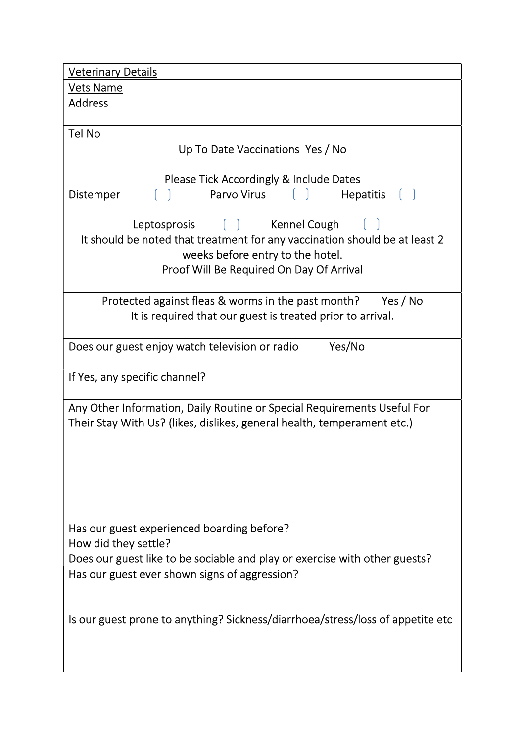| <b>Veterinary Details</b>                                                      |  |  |
|--------------------------------------------------------------------------------|--|--|
| <b>Vets Name</b>                                                               |  |  |
| <b>Address</b>                                                                 |  |  |
|                                                                                |  |  |
| Tel No                                                                         |  |  |
| Up To Date Vaccinations Yes / No                                               |  |  |
| Please Tick Accordingly & Include Dates                                        |  |  |
| [ ] Parvo Virus [ ] Hepatitis [ ]<br>Distemper                                 |  |  |
| Leptosprosis [ ] Kennel Cough [ ]                                              |  |  |
| It should be noted that treatment for any vaccination should be at least 2     |  |  |
| weeks before entry to the hotel.                                               |  |  |
| Proof Will Be Required On Day Of Arrival                                       |  |  |
|                                                                                |  |  |
| Protected against fleas & worms in the past month? Yes / No                    |  |  |
| It is required that our guest is treated prior to arrival.                     |  |  |
|                                                                                |  |  |
| Does our guest enjoy watch television or radio<br>Yes/No                       |  |  |
| If Yes, any specific channel?                                                  |  |  |
| Any Other Information, Daily Routine or Special Requirements Useful For        |  |  |
| Their Stay With Us? (likes, dislikes, general health, temperament etc.)        |  |  |
|                                                                                |  |  |
|                                                                                |  |  |
|                                                                                |  |  |
|                                                                                |  |  |
|                                                                                |  |  |
|                                                                                |  |  |
| Has our guest experienced boarding before?                                     |  |  |
| How did they settle?                                                           |  |  |
| Does our guest like to be sociable and play or exercise with other guests?     |  |  |
| Has our guest ever shown signs of aggression?                                  |  |  |
|                                                                                |  |  |
|                                                                                |  |  |
| Is our guest prone to anything? Sickness/diarrhoea/stress/loss of appetite etc |  |  |
|                                                                                |  |  |
|                                                                                |  |  |
|                                                                                |  |  |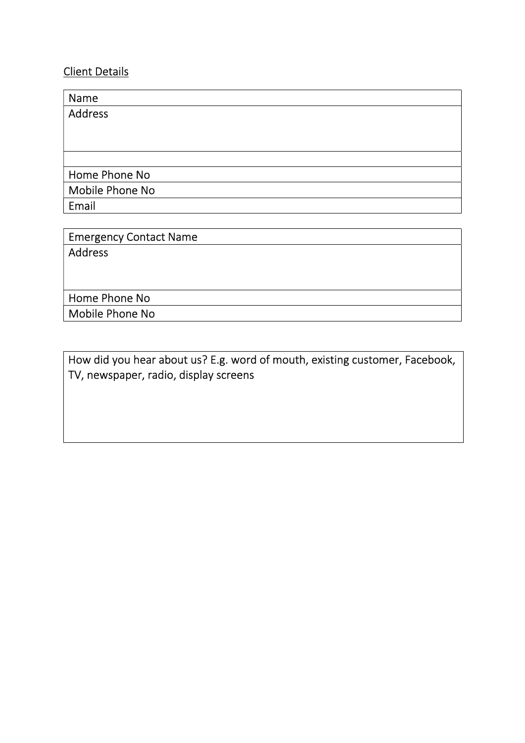## Client Details

| Name            |  |
|-----------------|--|
| <b>Address</b>  |  |
|                 |  |
|                 |  |
|                 |  |
| Home Phone No   |  |
| Mobile Phone No |  |
| Email           |  |
|                 |  |

Emergency Contact Name Address Home Phone No

Mobile Phone No

How did you hear about us? E.g. word of mouth, existing customer, Facebook, TV, newspaper, radio, display screens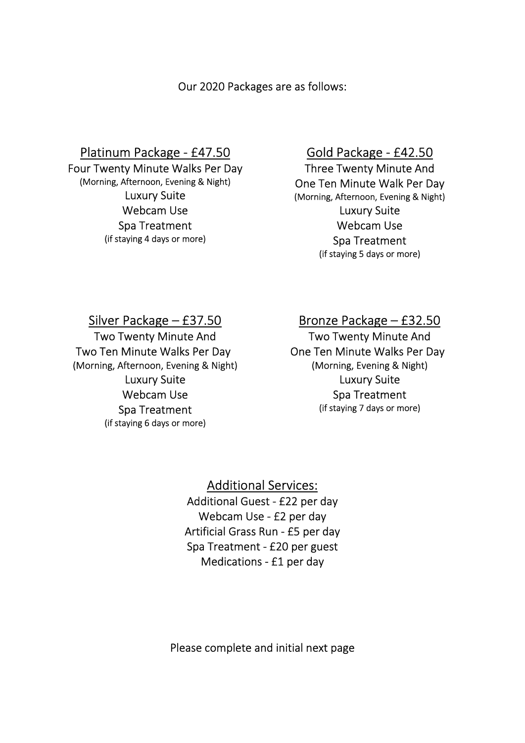Our 2020 Packages are as follows:

# Platinum Package - £47.50

Four Twenty Minute Walks Per Day (Morning, Afternoon, Evening & Night) Luxury Suite Webcam Use Spa Treatment (if staying 4 days or more)

#### Gold Package - £42.50

Three Twenty Minute And One Ten Minute Walk Per Day (Morning, Afternoon, Evening & Night) Luxury Suite Webcam Use Spa Treatment (if staying 5 days or more)

## Silver Package – £37.50

Two Twenty Minute And Two Ten Minute Walks Per Day (Morning, Afternoon, Evening & Night) Luxury Suite Webcam Use Spa Treatment (if staying 6 days or more)

# Bronze Package – £32.50

Two Twenty Minute And One Ten Minute Walks Per Day (Morning, Evening & Night) Luxury Suite Spa Treatment (if staying 7 days or more)

Additional Services: Additional Guest - £22 per day Webcam Use - £2 per day Artificial Grass Run - £5 per day Spa Treatment - £20 per guest Medications - £1 per day

Please complete and initial next page